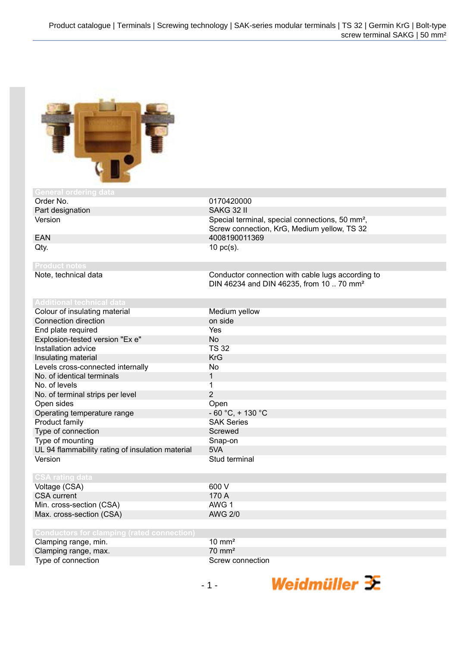

| General ordering data                             |                                                                                                           |
|---------------------------------------------------|-----------------------------------------------------------------------------------------------------------|
| Order No.                                         | 0170420000                                                                                                |
| Part designation                                  | SAKG 32 II                                                                                                |
| Version                                           | Special terminal, special connections, 50 mm <sup>2</sup> ,                                               |
|                                                   | Screw connection, KrG, Medium yellow, TS 32                                                               |
| <b>EAN</b>                                        | 4008190011369                                                                                             |
| Qty.                                              | $10$ pc(s).                                                                                               |
|                                                   |                                                                                                           |
| <b>Product notes</b>                              |                                                                                                           |
| Note, technical data                              | Conductor connection with cable lugs according to<br>DIN 46234 and DIN 46235, from 10  70 mm <sup>2</sup> |
|                                                   |                                                                                                           |
| <b>Additional technical data</b>                  |                                                                                                           |
| Colour of insulating material                     | Medium yellow                                                                                             |
| <b>Connection direction</b>                       | on side                                                                                                   |
| End plate required                                | Yes                                                                                                       |
| Explosion-tested version "Ex e"                   | <b>No</b>                                                                                                 |
| Installation advice                               | <b>TS 32</b>                                                                                              |
| Insulating material                               | <b>KrG</b>                                                                                                |
| Levels cross-connected internally                 | <b>No</b>                                                                                                 |
| No. of identical terminals                        | 1                                                                                                         |
| No. of levels                                     | 1                                                                                                         |
| No. of terminal strips per level                  | $\overline{2}$                                                                                            |
| Open sides                                        | Open                                                                                                      |
| Operating temperature range                       | $-60 °C$ , + 130 °C                                                                                       |
| Product family                                    | <b>SAK Series</b>                                                                                         |
| Type of connection                                | Screwed                                                                                                   |
| Type of mounting                                  | Snap-on                                                                                                   |
| UL 94 flammability rating of insulation material  | 5VA                                                                                                       |
| Version                                           | Stud terminal                                                                                             |
|                                                   |                                                                                                           |
| <b>CSA rating data</b>                            |                                                                                                           |
| Voltage (CSA)                                     | 600 V                                                                                                     |
| <b>CSA</b> current                                | 170 A                                                                                                     |
| Min. cross-section (CSA)                          | AWG <sub>1</sub>                                                                                          |
| Max. cross-section (CSA)                          | <b>AWG 2/0</b>                                                                                            |
|                                                   |                                                                                                           |
| <b>Conductors for clamping (rated connection)</b> |                                                                                                           |
| Clamping range, min.                              | $10 \text{ mm}^2$                                                                                         |
| Clamping range, max.                              | $70 \text{ mm}^2$                                                                                         |
| Type of connection                                | Screw connection                                                                                          |

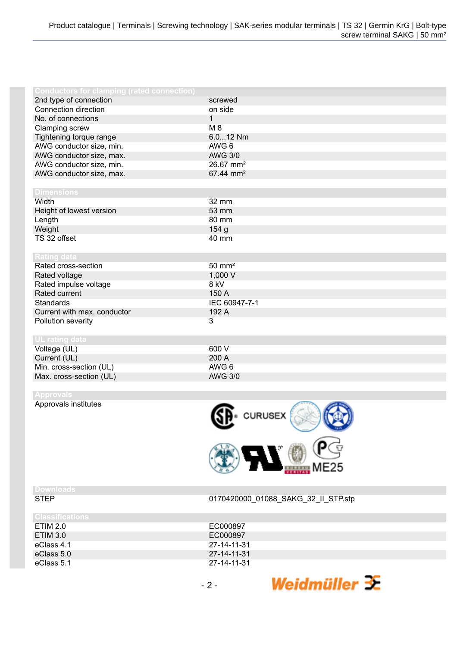| <b>Conductors for clamping (rated connection)</b> |                         |
|---------------------------------------------------|-------------------------|
| 2nd type of connection                            | screwed                 |
| Connection direction                              | on side                 |
| No. of connections                                | $\mathbf{1}$            |
| Clamping screw                                    | M 8                     |
| Tightening torque range                           | $6.012$ Nm              |
| AWG conductor size, min.                          | AWG 6                   |
| AWG conductor size, max.                          | <b>AWG 3/0</b>          |
| AWG conductor size, min.                          | $26.67$ mm <sup>2</sup> |
| AWG conductor size, max.                          | 67.44 mm <sup>2</sup>   |
|                                                   |                         |
| <b>Dimensions</b>                                 |                         |
| Width                                             | 32 mm                   |
| Height of lowest version                          | 53 mm                   |
| Length                                            | 80 mm                   |
| Weight                                            | 154 <sub>g</sub>        |
| TS 32 offset                                      | 40 mm                   |
|                                                   |                         |
| Rating data                                       |                         |
| Rated cross-section                               | $50 \text{ mm}^2$       |
| Rated voltage                                     | 1,000 V                 |
| Rated impulse voltage                             | 8 kV                    |
| Rated current                                     | 150 A                   |
| Standards                                         | IEC 60947-7-1           |
| Current with max. conductor                       | 192 A                   |
| Pollution severity                                | 3                       |
|                                                   |                         |
| <b>UL</b> rating data                             |                         |
| Voltage (UL)                                      | 600 V                   |
| Current (UL)                                      | 200 A                   |
| Min. cross-section (UL)                           | AWG 6                   |
| Max. cross-section (UL)                           | <b>AWG 3/0</b>          |
|                                                   |                         |

**Approvals**

Approvals institutes



| ×. | ═ |  |  |
|----|---|--|--|

STEP 0170420000\_01088\_SAKG\_32\_II\_STP.stp

| Classifications |             |  |
|-----------------|-------------|--|
| <b>ETIM 2.0</b> | EC000897    |  |
| <b>ETIM 3.0</b> | EC000897    |  |
| eClass 4.1      | 27-14-11-31 |  |
| eClass 5.0      | 27-14-11-31 |  |
| eClass 5.1      | 27-14-11-31 |  |
|                 |             |  |
|                 | -2-         |  |
|                 |             |  |